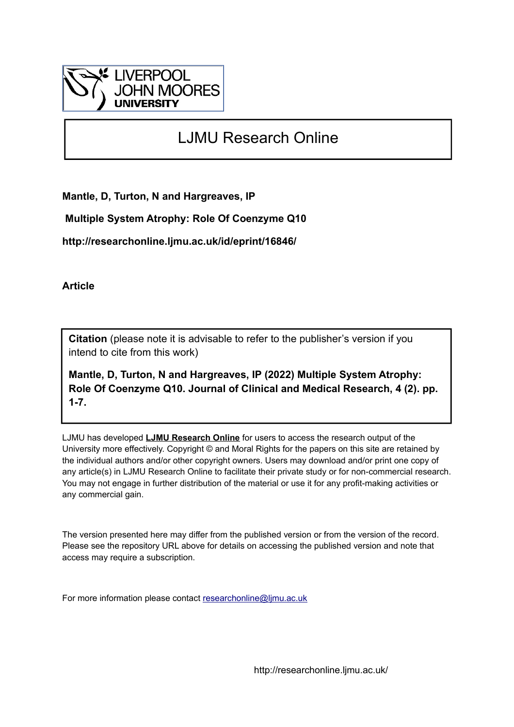

## LJMU Research Online

**Mantle, D, Turton, N and Hargreaves, IP**

 **Multiple System Atrophy: Role Of Coenzyme Q10**

**http://researchonline.ljmu.ac.uk/id/eprint/16846/**

**Article**

**Citation** (please note it is advisable to refer to the publisher's version if you intend to cite from this work)

**Mantle, D, Turton, N and Hargreaves, IP (2022) Multiple System Atrophy: Role Of Coenzyme Q10. Journal of Clinical and Medical Research, 4 (2). pp. 1-7.** 

LJMU has developed **[LJMU Research Online](http://researchonline.ljmu.ac.uk/)** for users to access the research output of the University more effectively. Copyright © and Moral Rights for the papers on this site are retained by the individual authors and/or other copyright owners. Users may download and/or print one copy of any article(s) in LJMU Research Online to facilitate their private study or for non-commercial research. You may not engage in further distribution of the material or use it for any profit-making activities or any commercial gain.

The version presented here may differ from the published version or from the version of the record. Please see the repository URL above for details on accessing the published version and note that access may require a subscription.

For more information please contact [researchonline@ljmu.ac.uk](mailto:researchonline@ljmu.ac.uk)

http://researchonline.ljmu.ac.uk/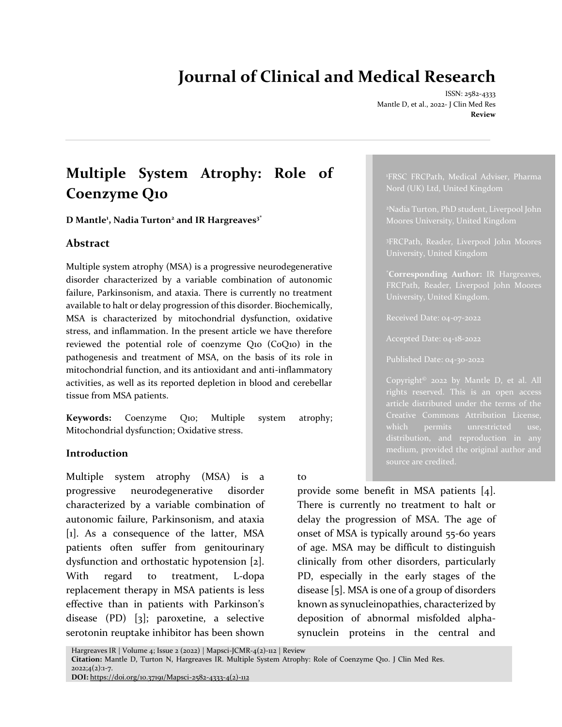# **Journal of Clinical and Medical Research**

ISSN: 2582-4333 Mantle D, et al., 2022- J Clin Med Res **Review**

<sup>1</sup>FRSC FRCPath, Medical Adviser, Pharma

\***Corresponding Author:** IR Hargreaves,

Copyright© 2022 by Mantle D, et al. All rights reserved. This is an open access

Creative Commons Attribution License,

distribution, and reproduction in any medium, provided the original author and

Nord (UK) Ltd, United Kingdom

Moores University, United Kingdom

## **Multiple System Atrophy: Role of Coenzyme Q10**

**D Mantle<sup>1</sup> , Nadia Turton<sup>2</sup> and IR Hargreaves3\***

#### **Abstract**

Multiple system atrophy (MSA) is a progressive neurodegenerative disorder characterized by a variable combination of autonomic failure, Parkinsonism, and ataxia. There is currently no treatment available to halt or delay progression of this disorder. Biochemically, MSA is characterized by mitochondrial dysfunction, oxidative stress, and inflammation. In the present article we have therefore reviewed the potential role of coenzyme Q10 (CoQ10) in the pathogenesis and treatment of MSA, on the basis of its role in mitochondrial function, and its antioxidant and anti-inflammatory activities, as well as its reported depletion in blood and cerebellar tissue from MSA patients.

**Keywords:** Coenzyme Q10; Multiple system atrophy; Mitochondrial dysfunction; Oxidative stress.

#### **Introduction**

Multiple system atrophy (MSA) is a progressive neurodegenerative disorder characterized by a variable combination of autonomic failure, Parkinsonism, and ataxia [1]. As a consequence of the latter, MSA patients often suffer from genitourinary dysfunction and orthostatic hypotension [2]. With regard to treatment, L-dopa replacement therapy in MSA patients is less effective than in patients with Parkinson's disease (PD) [3]; paroxetine, a selective serotonin reuptake inhibitor has been shown

to

provide some benefit in MSA patients [4]. There is currently no treatment to halt or delay the progression of MSA. The age of onset of MSA is typically around 55-60 years of age. MSA may be difficult to distinguish clinically from other disorders, particularly PD, especially in the early stages of the disease [5]. MSA is one of a group of disorders known as synucleinopathies, characterized by deposition of abnormal misfolded alphasynuclein proteins in the central and

Hargreaves IR | Volume 4; Issue 2 (2022) | Mapsci-JCMR-4(2)-112 | Review

**Citation:** Mantle D, Turton N, Hargreaves IR. Multiple System Atrophy: Role of Coenzyme Q10. J Clin Med Res.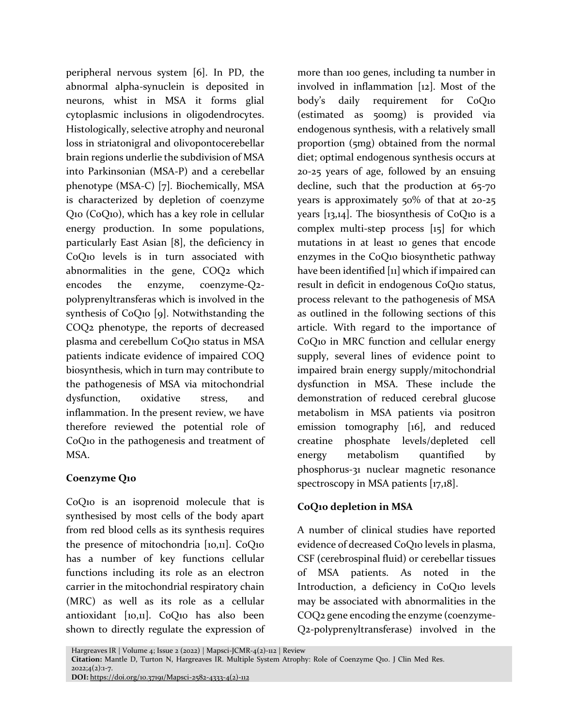peripheral nervous system [6]. In PD, the abnormal alpha-synuclein is deposited in neurons, whist in MSA it forms glial cytoplasmic inclusions in oligodendrocytes. Histologically, selective atrophy and neuronal loss in striatonigral and olivopontocerebellar brain regions underlie the subdivision of MSA into Parkinsonian (MSA-P) and a cerebellar phenotype (MSA-C) [7]. Biochemically, MSA is characterized by depletion of coenzyme Q10 (CoQ10), which has a key role in cellular energy production. In some populations, particularly East Asian [8], the deficiency in CoQ10 levels is in turn associated with abnormalities in the gene, COQ2 which encodes the enzyme, coenzyme-Q2 polyprenyltransferas which is involved in the synthesis of CoQ10 [9]. Notwithstanding the COQ2 phenotype, the reports of decreased plasma and cerebellum CoQ10 status in MSA patients indicate evidence of impaired COQ biosynthesis, which in turn may contribute to the pathogenesis of MSA via mitochondrial dysfunction, oxidative stress, and inflammation. In the present review, we have therefore reviewed the potential role of CoQ10 in the pathogenesis and treatment of MSA.

#### **Coenzyme Q10**

CoQ10 is an isoprenoid molecule that is synthesised by most cells of the body apart from red blood cells as its synthesis requires the presence of mitochondria [10,11]. CoQ10 has a number of key functions cellular functions including its role as an electron carrier in the mitochondrial respiratory chain (MRC) as well as its role as a cellular antioxidant [10,11]. CoQ10 has also been shown to directly regulate the expression of more than 100 genes, including ta number in involved in inflammation [12]. Most of the body's daily requirement for CoQ10 (estimated as 500mg) is provided via endogenous synthesis, with a relatively small proportion (5mg) obtained from the normal diet; optimal endogenous synthesis occurs at 20-25 years of age, followed by an ensuing decline, such that the production at 65-70 years is approximately 50% of that at 20-25 years  $[x3,14]$ . The biosynthesis of CoQ10 is a complex multi-step process [15] for which mutations in at least 10 genes that encode enzymes in the CoQ10 biosynthetic pathway have been identified [11] which if impaired can result in deficit in endogenous CoQ10 status, process relevant to the pathogenesis of MSA as outlined in the following sections of this article. With regard to the importance of CoQ10 in MRC function and cellular energy supply, several lines of evidence point to impaired brain energy supply/mitochondrial dysfunction in MSA. These include the demonstration of reduced cerebral glucose metabolism in MSA patients via positron emission tomography [16], and reduced creatine phosphate levels/depleted cell energy metabolism quantified by phosphorus-31 nuclear magnetic resonance spectroscopy in MSA patients [17,18].

## **CoQ10 depletion in MSA**

A number of clinical studies have reported evidence of decreased CoQ10 levels in plasma, CSF (cerebrospinal fluid) or cerebellar tissues of MSA patients. As noted in the Introduction, a deficiency in CoQ10 levels may be associated with abnormalities in the COQ2 gene encoding the enzyme (coenzyme-Q2-polyprenyltransferase) involved in the

Hargreaves IR | Volume 4; Issue 2 (2022) | Mapsci-JCMR-4(2)-112 | Review

**Citation:** Mantle D, Turton N, Hargreaves IR. Multiple System Atrophy: Role of Coenzyme Q10. J Clin Med Res.  $2022;4(2):1-7.$ 

**DOI:** [https://doi.org/10.37191/Mapsci-2582-4333-4\(2\)-112](https://doi.org/10.37191/Mapsci-2582-4333-4(2)-112)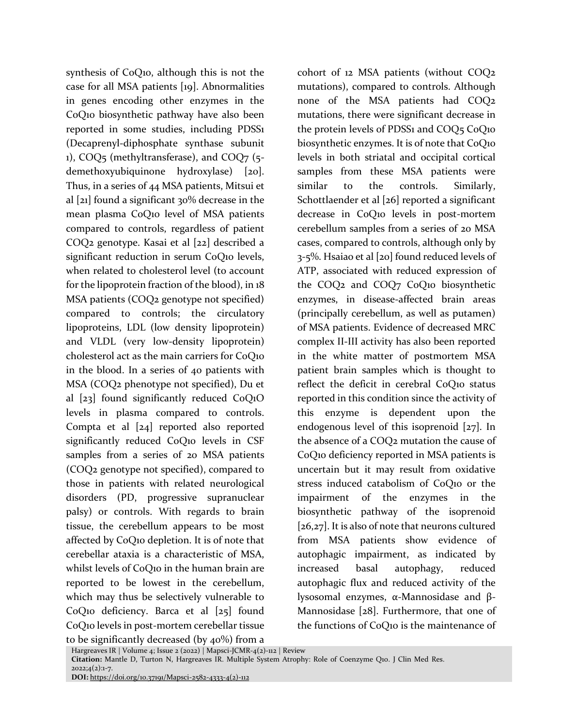synthesis of CoQ10, although this is not the case for all MSA patients [19]. Abnormalities in genes encoding other enzymes in the CoQ10 biosynthetic pathway have also been reported in some studies, including PDSS1 (Decaprenyl-diphosphate synthase subunit 1), COQ5 (methyltransferase), and COQ7 (5 demethoxyubiquinone hydroxylase) [20]. Thus, in a series of 44 MSA patients, Mitsui et al [21] found a significant 30% decrease in the mean plasma CoQ10 level of MSA patients compared to controls, regardless of patient COQ2 genotype. Kasai et al [22] described a significant reduction in serum CoQ10 levels, when related to cholesterol level (to account for the lipoprotein fraction of the blood), in 18 MSA patients (COQ2 genotype not specified) compared to controls; the circulatory lipoproteins, LDL (low density lipoprotein) and VLDL (very low-density lipoprotein) cholesterol act as the main carriers for CoQ10 in the blood. In a series of 40 patients with MSA (COQ2 phenotype not specified), Du et al [23] found significantly reduced CoQ1O levels in plasma compared to controls. Compta et al [24] reported also reported significantly reduced CoQ10 levels in CSF samples from a series of 20 MSA patients (COQ2 genotype not specified), compared to those in patients with related neurological disorders (PD, progressive supranuclear palsy) or controls. With regards to brain tissue, the cerebellum appears to be most affected by CoQ10 depletion. It is of note that cerebellar ataxia is a characteristic of MSA, whilst levels of CoQ10 in the human brain are reported to be lowest in the cerebellum, which may thus be selectively vulnerable to CoQ10 deficiency. Barca et al [25] found CoQ10 levels in post-mortem cerebellar tissue

cohort of 12 MSA patients (without COQ2 mutations), compared to controls. Although none of the MSA patients had COQ2 mutations, there were significant decrease in the protein levels of PDSS1 and COQ5 CoQ10 biosynthetic enzymes. It is of note that CoQ10 levels in both striatal and occipital cortical samples from these MSA patients were similar to the controls. Similarly, Schottlaender et al [26] reported a significant decrease in CoQ10 levels in post-mortem cerebellum samples from a series of 20 MSA cases, compared to controls, although only by 3-5%. Hsaiao et al [20] found reduced levels of ATP, associated with reduced expression of the COQ2 and COQ7 CoQ10 biosynthetic enzymes, in disease-affected brain areas (principally cerebellum, as well as putamen) of MSA patients. Evidence of decreased MRC complex II-III activity has also been reported in the white matter of postmortem MSA patient brain samples which is thought to reflect the deficit in cerebral CoQ10 status reported in this condition since the activity of this enzyme is dependent upon the endogenous level of this isoprenoid [27]. In the absence of a COQ2 mutation the cause of CoQ10 deficiency reported in MSA patients is uncertain but it may result from oxidative stress induced catabolism of CoQ10 or the impairment of the enzymes in the biosynthetic pathway of the isoprenoid [26,27]. It is also of note that neurons cultured from MSA patients show evidence of autophagic impairment, as indicated by increased basal autophagy, reduced autophagic flux and reduced activity of the lysosomal enzymes, α-Mannosidase and β-Mannosidase [28]. Furthermore, that one of the functions of CoQ10 is the maintenance of

to be significantly decreased (by  $40\%$ ) from a

Hargreaves IR | Volume 4; Issue 2 (2022) | Mapsci-JCMR-4(2)-112 | Review **Citation:** Mantle D, Turton N, Hargreaves IR. Multiple System Atrophy: Role of Coenzyme Q10. J Clin Med Res.

 $2022;4(2):1-7.$ 

**DOI:** [https://doi.org/10.37191/Mapsci-2582-4333-4\(2\)-112](https://doi.org/10.37191/Mapsci-2582-4333-4(2)-112)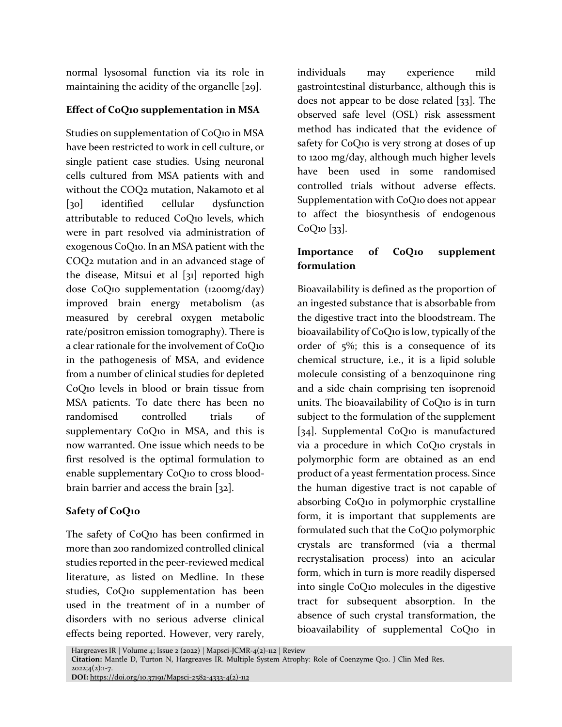normal lysosomal function via its role in maintaining the acidity of the organelle [29].

### **Effect of CoQ10 supplementation in MSA**

Studies on supplementation of CoQ10 in MSA have been restricted to work in cell culture, or single patient case studies. Using neuronal cells cultured from MSA patients with and without the COQ2 mutation, Nakamoto et al [30] identified cellular dysfunction attributable to reduced CoQ10 levels, which were in part resolved via administration of exogenous CoQ10. In an MSA patient with the COQ2 mutation and in an advanced stage of the disease, Mitsui et al [31] reported high dose CoQ10 supplementation (1200mg/day) improved brain energy metabolism (as measured by cerebral oxygen metabolic rate/positron emission tomography). There is a clear rationale for the involvement of CoQ10 in the pathogenesis of MSA, and evidence from a number of clinical studies for depleted CoQ10 levels in blood or brain tissue from MSA patients. To date there has been no randomised controlled trials of supplementary CoQ10 in MSA, and this is now warranted. One issue which needs to be first resolved is the optimal formulation to enable supplementary CoQ10 to cross bloodbrain barrier and access the brain [32].

## **Safety of CoQ10**

The safety of CoQ10 has been confirmed in more than 200 randomized controlled clinical studies reported in the peer-reviewed medical literature, as listed on Medline. In these studies, CoQ10 supplementation has been used in the treatment of in a number of disorders with no serious adverse clinical effects being reported. However, very rarely,

individuals may experience mild gastrointestinal disturbance, although this is does not appear to be dose related [33]. The observed safe level (OSL) risk assessment method has indicated that the evidence of safety for CoQ10 is very strong at doses of up to 1200 mg/day, although much higher levels have been used in some randomised controlled trials without adverse effects. Supplementation with CoQ10 does not appear to affect the biosynthesis of endogenous  $CoQ<sub>10</sub>$  [33].

### **Importance of CoQ10 supplement formulation**

Bioavailability is defined as the proportion of an ingested substance that is absorbable from the digestive tract into the bloodstream. The bioavailability of CoQ10 is low, typically of the order of 5%; this is a consequence of its chemical structure, i.e., it is a lipid soluble molecule consisting of a benzoquinone ring and a side chain comprising ten isoprenoid units. The bioavailability of CoQ10 is in turn subject to the formulation of the supplement [34]. Supplemental CoQ10 is manufactured via a procedure in which CoQ10 crystals in polymorphic form are obtained as an end product of a yeast fermentation process. Since the human digestive tract is not capable of absorbing CoQ10 in polymorphic crystalline form, it is important that supplements are formulated such that the CoQ10 polymorphic crystals are transformed (via a thermal recrystalisation process) into an acicular form, which in turn is more readily dispersed into single CoQ10 molecules in the digestive tract for subsequent absorption. In the absence of such crystal transformation, the bioavailability of supplemental CoQ10 in

Hargreaves IR | Volume 4; Issue 2 (2022) | Mapsci-JCMR-4(2)-112 | Review

**Citation:** Mantle D, Turton N, Hargreaves IR. Multiple System Atrophy: Role of Coenzyme Q10. J Clin Med Res.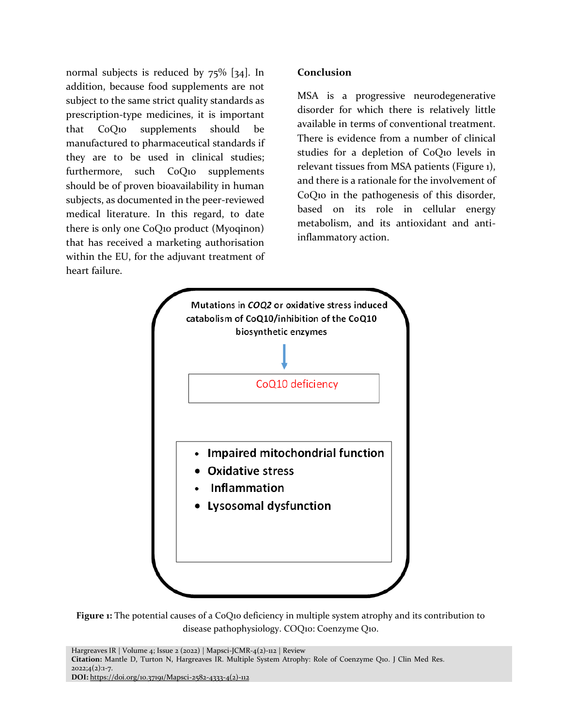normal subjects is reduced by 75% [34]. In addition, because food supplements are not subject to the same strict quality standards as prescription-type medicines, it is important that CoQ10 supplements should be manufactured to pharmaceutical standards if they are to be used in clinical studies; furthermore, such CoQ10 supplements should be of proven bioavailability in human subjects, as documented in the peer-reviewed medical literature. In this regard, to date there is only one CoQ10 product (Myoqinon) that has received a marketing authorisation within the EU, for the adjuvant treatment of heart failure.

#### **Conclusion**

MSA is a progressive neurodegenerative disorder for which there is relatively little available in terms of conventional treatment. There is evidence from a number of clinical studies for a depletion of CoQ10 levels in relevant tissues from MSA patients (Figure 1), and there is a rationale for the involvement of CoQ10 in the pathogenesis of this disorder, based on its role in cellular energy metabolism, and its antioxidant and antiinflammatory action.



**Figure 1:** The potential causes of a CoQ10 deficiency in multiple system atrophy and its contribution to disease pathophysiology. COQ10: Coenzyme Q10.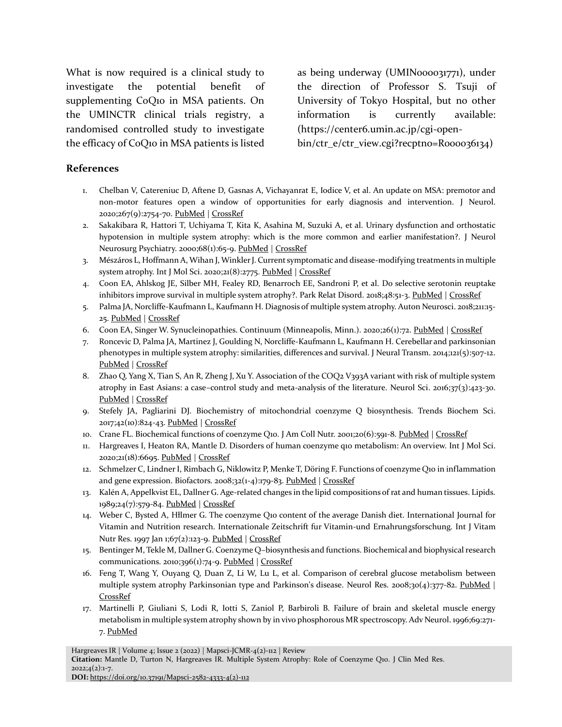What is now required is a clinical study to investigate the potential benefit of supplementing CoQ10 in MSA patients. On the UMINCTR clinical trials registry, a randomised controlled study to investigate the efficacy of CoQ10 in MSA patients is listed as being underway (UMIN000031771), under the direction of Professor S. Tsuji of University of Tokyo Hospital, but no other information is currently available: (https://center6.umin.ac.jp/cgi-open-

bin/ctr\_e/ctr\_view.cgi?recptno=R000036134)

#### **References**

- 1. Chelban V, Catereniuc D, Aftene D, Gasnas A, Vichayanrat E, Iodice V, et al. An update on MSA: premotor and non-motor features open a window of opportunities for early diagnosis and intervention. J Neurol. 2020;267(9):2754-70. [PubMed](https://pubmed.ncbi.nlm.nih.gov/32436100/) | [CrossRef](https://doi.org/10.1007/s00415-020-09881-6)
- 2. Sakakibara R, Hattori T, Uchiyama T, Kita K, Asahina M, Suzuki A, et al. Urinary dysfunction and orthostatic hypotension in multiple system atrophy: which is the more common and earlier manifestation?. J Neurol Neurosurg Psychiatry. 2000;68(1):65-9. [PubMed](https://pubmed.ncbi.nlm.nih.gov/10601404/) | [CrossRef](https://doi.org/10.1136/jnnp.68.1.65)
- 3. Mészáros L, Hoffmann A, Wihan J, Winkler J. Current symptomatic and disease-modifying treatments in multiple system atrophy. Int J Mol Sci. 2020;21(8):2775[. PubMed](https://pubmed.ncbi.nlm.nih.gov/32316335/) | [CrossRef](https://doi.org/10.3390/ijms21082775)
- 4. Coon EA, Ahlskog JE, Silber MH, Fealey RD, Benarroch EE, Sandroni P, et al. Do selective serotonin reuptake inhibitors improve survival in multiple system atrophy?. Park Relat Disord. 2018;48:51-3. [PubMed](https://pubmed.ncbi.nlm.nih.gov/29254663/) [| CrossRef](https://doi.org/10.1016/j.parkreldis.2017.12.011)
- 5. Palma JA, Norcliffe-Kaufmann L, Kaufmann H. Diagnosis of multiple system atrophy. Auton Neurosci. 2018;211:15- 25. [PubMed](https://pubmed.ncbi.nlm.nih.gov/29111419/) [| CrossRef](https://doi.org/10.1016/j.autneu.2017.10.007)
- 6. Coon EA, Singer W. Synucleinopathies. Continuum (Minneapolis, Minn.). 2020;26(1):72. [PubMed](https://pubmed.ncbi.nlm.nih.gov/31996623/) [| CrossRef](https://doi.org/10.1016/j.parkreldis.2017.12.011)
- 7. Roncevic D, Palma JA, Martinez J, Goulding N, Norcliffe-Kaufmann L, Kaufmann H. Cerebellar and parkinsonian phenotypes in multiple system atrophy: similarities, differences and survival. J Neural Transm. 2014;121(5):507-12. [PubMed](https://pubmed.ncbi.nlm.nih.gov/24337696/) [| CrossRef](https://doi.org/10.1007/s00702-013-1133-7)
- 8. Zhao Q, Yang X, Tian S, An R, Zheng J, Xu Y. Association of the COQ2 V393A variant with risk of multiple system atrophy in East Asians: a case–control study and meta-analysis of the literature. Neurol Sci. 2016;37(3):423-30. [PubMed](https://pubmed.ncbi.nlm.nih.gov/26590992/) [| CrossRef](https://doi.org/10.1007/s10072-015-2414-8)
- 9. Stefely JA, Pagliarini DJ. Biochemistry of mitochondrial coenzyme Q biosynthesis. Trends Biochem Sci. 2017;42(10):824-43. [PubMed](https://pubmed.ncbi.nlm.nih.gov/28927698/) | [CrossRef](https://doi.org/10.1016/j.tibs.2017.06.008)
- 10. Crane FL. Biochemical functions of coenzyme Q10. J Am Coll Nutr. 2001;20(6):591-8. [PubMed](https://pubmed.ncbi.nlm.nih.gov/11771674/) | [CrossRef](https://doi.org/10.1080/07315724.2001.10719063)
- 11. Hargreaves I, Heaton RA, Mantle D. Disorders of human coenzyme q10 metabolism: An overview. Int J Mol Sci. 2020;21(18):6695. [PubMed](https://pubmed.ncbi.nlm.nih.gov/32933108/) [| CrossRef](https://doi.org/10.3390/ijms21186695)
- 12. Schmelzer C, Lindner I, Rimbach G, Niklowitz P, Menke T, Döring F. Functions of coenzyme Q10 in inflammation and gene expression. Biofactors. 2008;32(1-4):179-83. [PubMed](https://pubmed.ncbi.nlm.nih.gov/19096114/) [| CrossRef](https://doi.org/10.1002/biof.5520320121)
- 13. Kalén A, Appelkvist EL, Dallner G. Age-related changes in the lipid compositions of rat and human tissues. Lipids. 1989;24(7):579-84. [PubMed](https://pubmed.ncbi.nlm.nih.gov/2779364/) [| CrossRef](https://doi.org/10.1007/bf02535072)
- 14. Weber C, Bysted A, Hłlmer G. The coenzyme Q10 content of the average Danish diet. International Journal for Vitamin and Nutrition research. Internationale Zeitschrift fur Vitamin-und Ernahrungsforschung. Int J Vitam Nutr Res. 1997 Jan 1;67(2):123-9. [PubMed](https://pubmed.ncbi.nlm.nih.gov/9129255/) [| CrossRef](https://doi.org/10.1016/s0098-2997(97)00003-4)
- 15. Bentinger M, Tekle M, Dallner G. Coenzyme Q–biosynthesis and functions. Biochemical and biophysical research communications. 2010;396(1):74-9. [PubMed](https://pubmed.ncbi.nlm.nih.gov/20494114/) [| CrossRef](https://doi.org/10.1016/j.bbrc.2010.02.147)
- 16. Feng T, Wang Y, Ouyang Q, Duan Z, Li W, Lu L, et al. Comparison of cerebral glucose metabolism between multiple system atrophy Parkinsonian type and Parkinson's disease. Neurol Res. 2008;30(4):377-82. [PubMed](https://pubmed.ncbi.nlm.nih.gov/18544255/) | [CrossRef](https://doi.org/10.1179/174313208x300396)
- 17. Martinelli P, Giuliani S, Lodi R, Iotti S, Zaniol P, Barbiroli B. Failure of brain and skeletal muscle energy metabolism in multiple system atrophy shown by in vivo phosphorous MR spectroscopy. Adv Neurol. 1996;69:271- 7. [PubMed](https://pubmed.ncbi.nlm.nih.gov/8615139/)

Hargreaves IR | Volume 4; Issue 2 (2022) | Mapsci-JCMR-4(2)-112 | Review

**DOI:** [https://doi.org/10.37191/Mapsci-2582-4333-4\(2\)-112](https://doi.org/10.37191/Mapsci-2582-4333-4(2)-112)

**Citation:** Mantle D, Turton N, Hargreaves IR. Multiple System Atrophy: Role of Coenzyme Q10. J Clin Med Res.  $2022;4(2):1-7.$